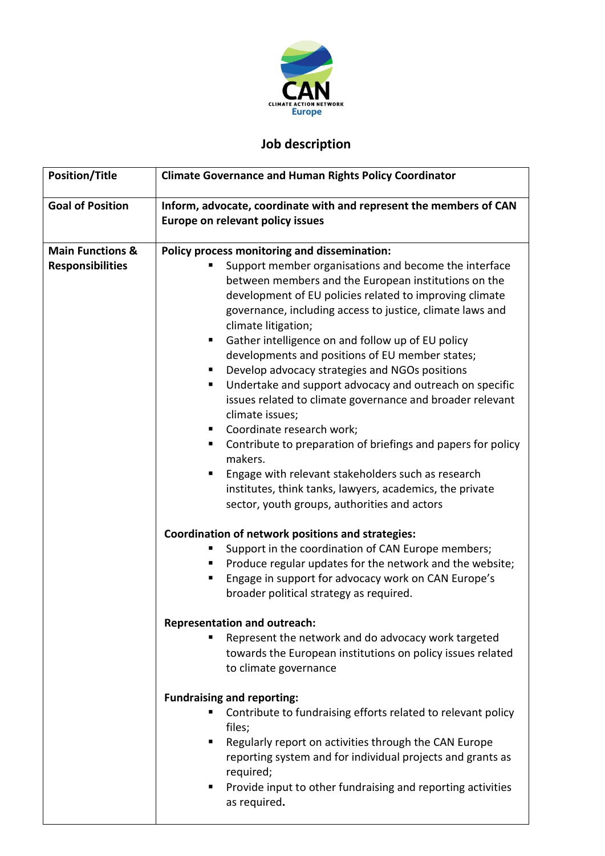

## **Job description**

| <b>Position/Title</b>                                  | <b>Climate Governance and Human Rights Policy Coordinator</b>                                                                                                                                                                                                                                                                                                                                                                                                                                                                                                                                                                                                                                                                                                                                                                                                                                                   |
|--------------------------------------------------------|-----------------------------------------------------------------------------------------------------------------------------------------------------------------------------------------------------------------------------------------------------------------------------------------------------------------------------------------------------------------------------------------------------------------------------------------------------------------------------------------------------------------------------------------------------------------------------------------------------------------------------------------------------------------------------------------------------------------------------------------------------------------------------------------------------------------------------------------------------------------------------------------------------------------|
| <b>Goal of Position</b>                                | Inform, advocate, coordinate with and represent the members of CAN<br>Europe on relevant policy issues                                                                                                                                                                                                                                                                                                                                                                                                                                                                                                                                                                                                                                                                                                                                                                                                          |
| <b>Main Functions &amp;</b><br><b>Responsibilities</b> | Policy process monitoring and dissemination:<br>Support member organisations and become the interface<br>between members and the European institutions on the<br>development of EU policies related to improving climate<br>governance, including access to justice, climate laws and<br>climate litigation;<br>Gather intelligence on and follow up of EU policy<br>ш<br>developments and positions of EU member states;<br>Develop advocacy strategies and NGOs positions<br>Undertake and support advocacy and outreach on specific<br>ш<br>issues related to climate governance and broader relevant<br>climate issues;<br>Coordinate research work;<br>Contribute to preparation of briefings and papers for policy<br>ш<br>makers.<br>Engage with relevant stakeholders such as research<br>ш<br>institutes, think tanks, lawyers, academics, the private<br>sector, youth groups, authorities and actors |
|                                                        | Coordination of network positions and strategies:<br>Support in the coordination of CAN Europe members;<br>п<br>Produce regular updates for the network and the website;<br>Engage in support for advocacy work on CAN Europe's<br>broader political strategy as required.                                                                                                                                                                                                                                                                                                                                                                                                                                                                                                                                                                                                                                      |
|                                                        | <b>Representation and outreach:</b><br>Represent the network and do advocacy work targeted<br>towards the European institutions on policy issues related<br>to climate governance                                                                                                                                                                                                                                                                                                                                                                                                                                                                                                                                                                                                                                                                                                                               |
|                                                        | <b>Fundraising and reporting:</b><br>Contribute to fundraising efforts related to relevant policy<br>files;<br>Regularly report on activities through the CAN Europe<br>٠<br>reporting system and for individual projects and grants as<br>required;<br>Provide input to other fundraising and reporting activities<br>٠<br>as required.                                                                                                                                                                                                                                                                                                                                                                                                                                                                                                                                                                        |